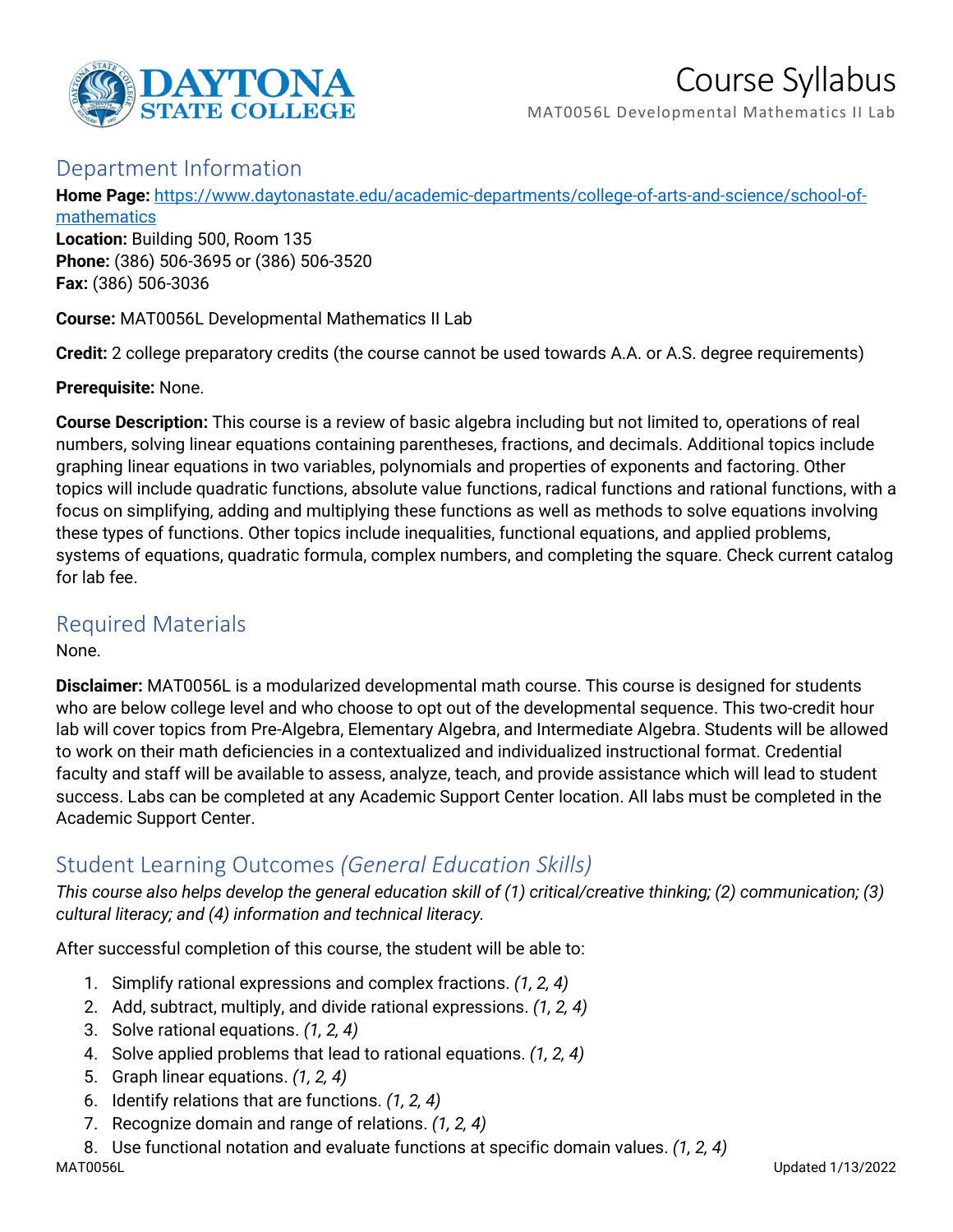

# Course Syllabus

MAT0056L Developmental Mathematics II Lab

#### Department Information

**Home Page:** [https://www.daytonastate.edu/academic-departments/college-of-arts-and-science/school-of-](https://www.daytonastate.edu/academic-departments/college-of-arts-and-science/school-of-mathematics)

[mathematics](https://www.daytonastate.edu/academic-departments/college-of-arts-and-science/school-of-mathematics)

**Location:** Building 500, Room 135 **Phone:** (386) 506-3695 or (386) 506-3520 **Fax:** (386) 506-3036

**Course:** MAT0056L Developmental Mathematics II Lab

**Credit:** 2 college preparatory credits (the course cannot be used towards A.A. or A.S. degree requirements)

**Prerequisite:** None.

**Course Description:** This course is a review of basic algebra including but not limited to, operations of real numbers, solving linear equations containing parentheses, fractions, and decimals. Additional topics include graphing linear equations in two variables, polynomials and properties of exponents and factoring. Other topics will include quadratic functions, absolute value functions, radical functions and rational functions, with a focus on simplifying, adding and multiplying these functions as well as methods to solve equations involving these types of functions. Other topics include inequalities, functional equations, and applied problems, systems of equations, quadratic formula, complex numbers, and completing the square. Check current catalog for lab fee.

### Required Materials

None.

**Disclaimer:** MAT0056L is a modularized developmental math course. This course is designed for students who are below college level and who choose to opt out of the developmental sequence. This two-credit hour lab will cover topics from Pre-Algebra, Elementary Algebra, and Intermediate Algebra. Students will be allowed to work on their math deficiencies in a contextualized and individualized instructional format. Credential faculty and staff will be available to assess, analyze, teach, and provide assistance which will lead to student success. Labs can be completed at any Academic Support Center location. All labs must be completed in the Academic Support Center.

## Student Learning Outcomes *(General Education Skills)*

*This course also helps develop the general education skill of (1) critical/creative thinking; (2) communication; (3) cultural literacy; and (4) information and technical literacy.*

After successful completion of this course, the student will be able to:

- 1. Simplify rational expressions and complex fractions. *(1, 2, 4)*
- 2. Add, subtract, multiply, and divide rational expressions. *(1, 2, 4)*
- 3. Solve rational equations. *(1, 2, 4)*
- 4. Solve applied problems that lead to rational equations. *(1, 2, 4)*
- 5. Graph linear equations. *(1, 2, 4)*
- 6. Identify relations that are functions. *(1, 2, 4)*
- 7. Recognize domain and range of relations. *(1, 2, 4)*

8. Use functional notation and evaluate functions at specific domain values. *(1, 2, 4)*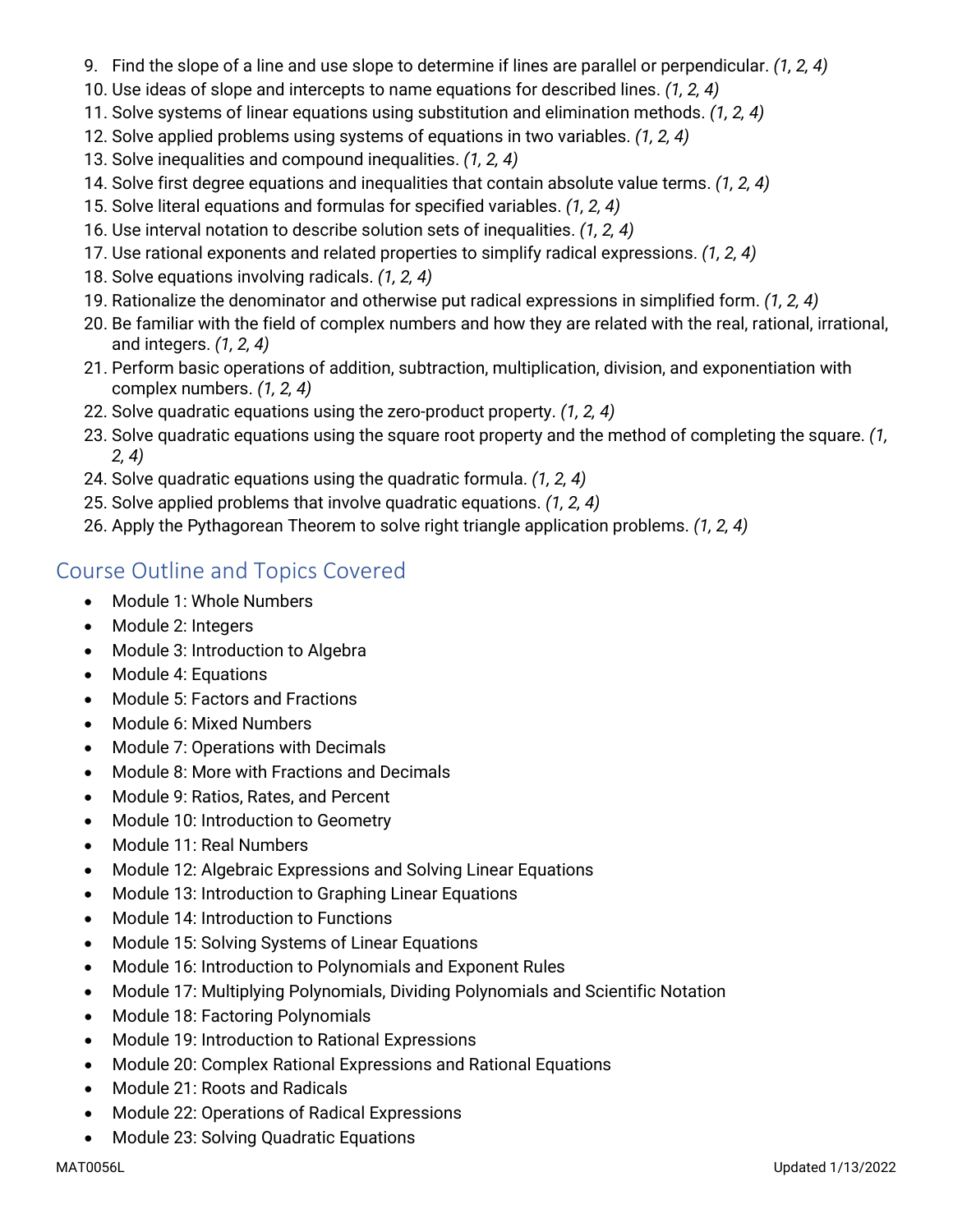- 9. Find the slope of a line and use slope to determine if lines are parallel or perpendicular. *(1, 2, 4)*
- 10. Use ideas of slope and intercepts to name equations for described lines. *(1, 2, 4)*
- 11. Solve systems of linear equations using substitution and elimination methods. *(1, 2, 4)*
- 12. Solve applied problems using systems of equations in two variables. *(1, 2, 4)*
- 13. Solve inequalities and compound inequalities. *(1, 2, 4)*
- 14. Solve first degree equations and inequalities that contain absolute value terms. *(1, 2, 4)*
- 15. Solve literal equations and formulas for specified variables. *(1, 2, 4)*
- 16. Use interval notation to describe solution sets of inequalities. *(1, 2, 4)*
- 17. Use rational exponents and related properties to simplify radical expressions. *(1, 2, 4)*
- 18. Solve equations involving radicals. *(1, 2, 4)*
- 19. Rationalize the denominator and otherwise put radical expressions in simplified form. *(1, 2, 4)*
- 20. Be familiar with the field of complex numbers and how they are related with the real, rational, irrational, and integers. *(1, 2, 4)*
- 21. Perform basic operations of addition, subtraction, multiplication, division, and exponentiation with complex numbers. *(1, 2, 4)*
- 22. Solve quadratic equations using the zero-product property. *(1, 2, 4)*
- 23. Solve quadratic equations using the square root property and the method of completing the square. *(1, 2, 4)*
- 24. Solve quadratic equations using the quadratic formula. *(1, 2, 4)*
- 25. Solve applied problems that involve quadratic equations. *(1, 2, 4)*
- 26. Apply the Pythagorean Theorem to solve right triangle application problems. *(1, 2, 4)*

## Course Outline and Topics Covered

- Module 1: Whole Numbers
- Module 2: Integers
- Module 3: Introduction to Algebra
- Module 4: Equations
- Module 5: Factors and Fractions
- Module 6: Mixed Numbers
- Module 7: Operations with Decimals
- Module 8: More with Fractions and Decimals
- Module 9: Ratios, Rates, and Percent
- Module 10: Introduction to Geometry
- Module 11: Real Numbers
- Module 12: Algebraic Expressions and Solving Linear Equations
- Module 13: Introduction to Graphing Linear Equations
- Module 14: Introduction to Functions
- Module 15: Solving Systems of Linear Equations
- Module 16: Introduction to Polynomials and Exponent Rules
- Module 17: Multiplying Polynomials, Dividing Polynomials and Scientific Notation
- Module 18: Factoring Polynomials
- Module 19: Introduction to Rational Expressions
- Module 20: Complex Rational Expressions and Rational Equations
- Module 21: Roots and Radicals
- Module 22: Operations of Radical Expressions
- Module 23: Solving Quadratic Equations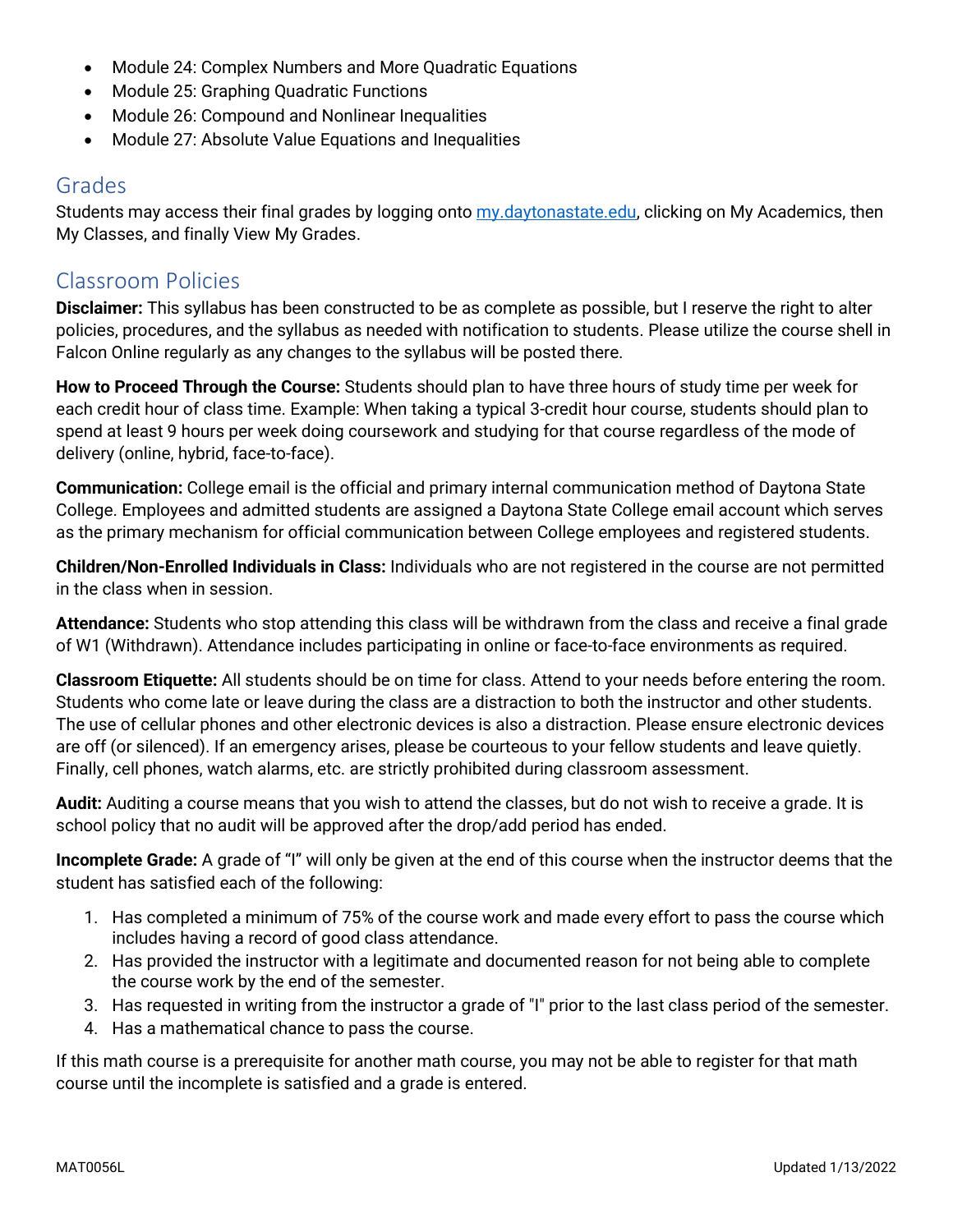- Module 24: Complex Numbers and More Quadratic Equations
- Module 25: Graphing Quadratic Functions
- Module 26: Compound and Nonlinear Inequalities
- Module 27: Absolute Value Equations and Inequalities

#### Grades

Students may access their final grades by logging onto [my.daytonastate.edu,](https://my.daytonastate.edu/) clicking on My Academics, then My Classes, and finally View My Grades.

## Classroom Policies

**Disclaimer:** This syllabus has been constructed to be as complete as possible, but I reserve the right to alter policies, procedures, and the syllabus as needed with notification to students. Please utilize the course shell in Falcon Online regularly as any changes to the syllabus will be posted there.

**How to Proceed Through the Course:** Students should plan to have three hours of study time per week for each credit hour of class time. Example: When taking a typical 3-credit hour course, students should plan to spend at least 9 hours per week doing coursework and studying for that course regardless of the mode of delivery (online, hybrid, face-to-face).

**Communication:** College email is the official and primary internal communication method of Daytona State College. Employees and admitted students are assigned a Daytona State College email account which serves as the primary mechanism for official communication between College employees and registered students.

**Children/Non-Enrolled Individuals in Class:** Individuals who are not registered in the course are not permitted in the class when in session.

**Attendance:** Students who stop attending this class will be withdrawn from the class and receive a final grade of W1 (Withdrawn). Attendance includes participating in online or face-to-face environments as required.

**Classroom Etiquette:** All students should be on time for class. Attend to your needs before entering the room. Students who come late or leave during the class are a distraction to both the instructor and other students. The use of cellular phones and other electronic devices is also a distraction. Please ensure electronic devices are off (or silenced). If an emergency arises, please be courteous to your fellow students and leave quietly. Finally, cell phones, watch alarms, etc. are strictly prohibited during classroom assessment.

**Audit:** Auditing a course means that you wish to attend the classes, but do not wish to receive a grade. It is school policy that no audit will be approved after the drop/add period has ended.

**Incomplete Grade:** A grade of "I" will only be given at the end of this course when the instructor deems that the student has satisfied each of the following:

- 1. Has completed a minimum of 75% of the course work and made every effort to pass the course which includes having a record of good class attendance.
- 2. Has provided the instructor with a legitimate and documented reason for not being able to complete the course work by the end of the semester.
- 3. Has requested in writing from the instructor a grade of "I" prior to the last class period of the semester.
- 4. Has a mathematical chance to pass the course.

If this math course is a prerequisite for another math course, you may not be able to register for that math course until the incomplete is satisfied and a grade is entered.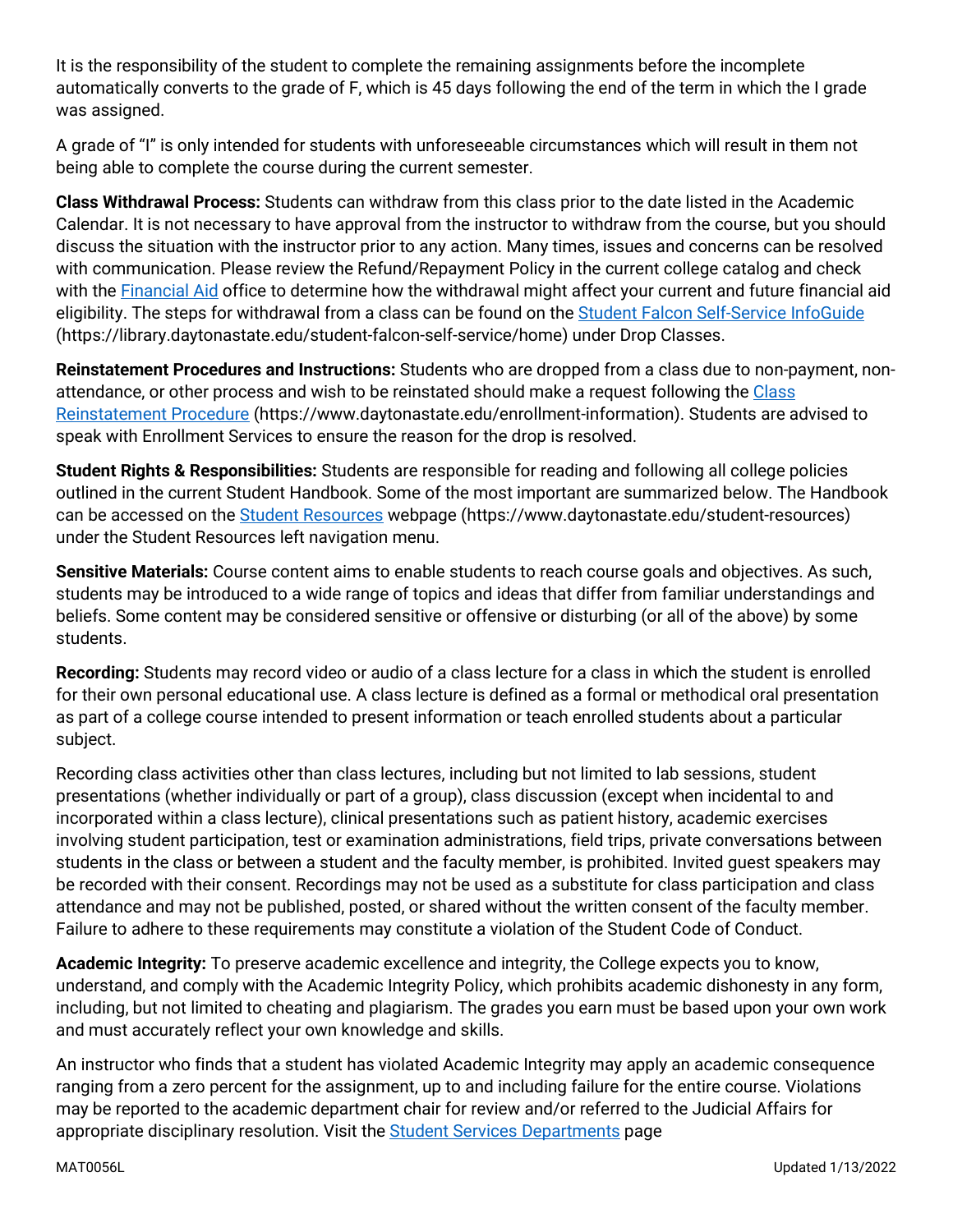It is the responsibility of the student to complete the remaining assignments before the incomplete automatically converts to the grade of F, which is 45 days following the end of the term in which the I grade was assigned.

A grade of "I" is only intended for students with unforeseeable circumstances which will result in them not being able to complete the course during the current semester.

**Class Withdrawal Process:** Students can withdraw from this class prior to the date listed in the Academic Calendar. It is not necessary to have approval from the instructor to withdraw from the course, but you should discuss the situation with the instructor prior to any action. Many times, issues and concerns can be resolved with communication. Please review the Refund/Repayment Policy in the current college catalog and check with the [Financial Aid](https://www.daytonastate.edu/financial-aid) office to determine how the withdrawal might affect your current and future financial aid eligibility. The steps for withdrawal from a class can be found on the [Student Falcon Self-Service InfoGuide](https://library.daytonastate.edu/student-falcon-self-service/home) (https://library.daytonastate.edu/student-falcon-self-service/home) under Drop Classes.

**Reinstatement Procedures and Instructions:** Students who are dropped from a class due to non-payment, nonattendance, or other process and wish to be reinstated should make a request following the Class [Reinstatement Procedure](https://www.daytonastate.edu/enrollment-information/index.html) (https://www.daytonastate.edu/enrollment-information). Students are advised to speak with Enrollment Services to ensure the reason for the drop is resolved.

**Student Rights & Responsibilities:** Students are responsible for reading and following all college policies outlined in the current Student Handbook. Some of the most important are summarized below. The Handbook can be accessed on the [Student Resources](https://www.daytonastate.edu/student-resources) webpage (https://www.daytonastate.edu/student-resources) under the Student Resources left navigation menu.

**Sensitive Materials:** Course content aims to enable students to reach course goals and objectives. As such, students may be introduced to a wide range of topics and ideas that differ from familiar understandings and beliefs. Some content may be considered sensitive or offensive or disturbing (or all of the above) by some students.

**Recording:** Students may record video or audio of a class lecture for a class in which the student is enrolled for their own personal educational use. A class lecture is defined as a formal or methodical oral presentation as part of a college course intended to present information or teach enrolled students about a particular subject.

Recording class activities other than class lectures, including but not limited to lab sessions, student presentations (whether individually or part of a group), class discussion (except when incidental to and incorporated within a class lecture), clinical presentations such as patient history, academic exercises involving student participation, test or examination administrations, field trips, private conversations between students in the class or between a student and the faculty member, is prohibited. Invited guest speakers may be recorded with their consent. Recordings may not be used as a substitute for class participation and class attendance and may not be published, posted, or shared without the written consent of the faculty member. Failure to adhere to these requirements may constitute a violation of the Student Code of Conduct.

**Academic Integrity:** To preserve academic excellence and integrity, the College expects you to know, understand, and comply with the Academic Integrity Policy, which prohibits academic dishonesty in any form, including, but not limited to cheating and plagiarism. The grades you earn must be based upon your own work and must accurately reflect your own knowledge and skills.

An instructor who finds that a student has violated Academic Integrity may apply an academic consequence ranging from a zero percent for the assignment, up to and including failure for the entire course. Violations may be reported to the academic department chair for review and/or referred to the Judicial Affairs for appropriate disciplinary resolution. Visit the **Student Services Departments** page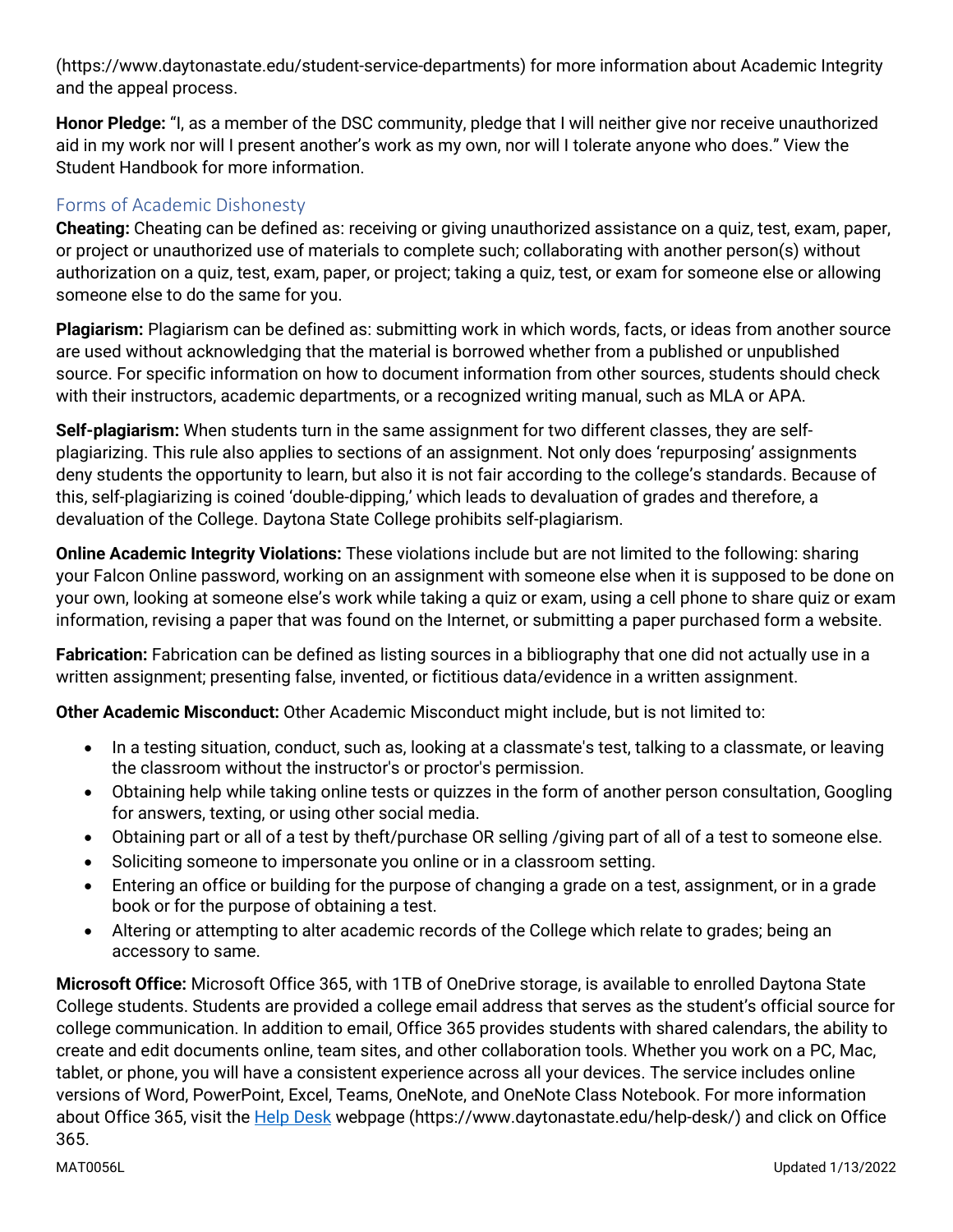(https://www.daytonastate.edu/student-service-departments) for more information about Academic Integrity and the appeal process.

**Honor Pledge:** "I, as a member of the DSC community, pledge that I will neither give nor receive unauthorized aid in my work nor will I present another's work as my own, nor will I tolerate anyone who does." View the Student Handbook for more information.

#### Forms of Academic Dishonesty

**Cheating:** Cheating can be defined as: receiving or giving unauthorized assistance on a quiz, test, exam, paper, or project or unauthorized use of materials to complete such; collaborating with another person(s) without authorization on a quiz, test, exam, paper, or project; taking a quiz, test, or exam for someone else or allowing someone else to do the same for you.

**Plagiarism:** Plagiarism can be defined as: submitting work in which words, facts, or ideas from another source are used without acknowledging that the material is borrowed whether from a published or unpublished source. For specific information on how to document information from other sources, students should check with their instructors, academic departments, or a recognized writing manual, such as MLA or APA.

**Self-plagiarism:** When students turn in the same assignment for two different classes, they are selfplagiarizing. This rule also applies to sections of an assignment. Not only does 'repurposing' assignments deny students the opportunity to learn, but also it is not fair according to the college's standards. Because of this, self-plagiarizing is coined 'double-dipping,' which leads to devaluation of grades and therefore, a devaluation of the College. Daytona State College prohibits self-plagiarism.

**Online Academic Integrity Violations:** These violations include but are not limited to the following: sharing your Falcon Online password, working on an assignment with someone else when it is supposed to be done on your own, looking at someone else's work while taking a quiz or exam, using a cell phone to share quiz or exam information, revising a paper that was found on the Internet, or submitting a paper purchased form a website.

**Fabrication:** Fabrication can be defined as listing sources in a bibliography that one did not actually use in a written assignment; presenting false, invented, or fictitious data/evidence in a written assignment.

**Other Academic Misconduct:** Other Academic Misconduct might include, but is not limited to:

- In a testing situation, conduct, such as, looking at a classmate's test, talking to a classmate, or leaving the classroom without the instructor's or proctor's permission.
- Obtaining help while taking online tests or quizzes in the form of another person consultation, Googling for answers, texting, or using other social media.
- Obtaining part or all of a test by theft/purchase OR selling /giving part of all of a test to someone else.
- Soliciting someone to impersonate you online or in a classroom setting.
- Entering an office or building for the purpose of changing a grade on a test, assignment, or in a grade book or for the purpose of obtaining a test.
- Altering or attempting to alter academic records of the College which relate to grades; being an accessory to same.

**Microsoft Office:** Microsoft Office 365, with 1TB of OneDrive storage, is available to enrolled Daytona State College students. Students are provided a college email address that serves as the student's official source for college communication. In addition to email, Office 365 provides students with shared calendars, the ability to create and edit documents online, team sites, and other collaboration tools. Whether you work on a PC, Mac, tablet, or phone, you will have a consistent experience across all your devices. The service includes online versions of Word, PowerPoint, Excel, Teams, OneNote, and OneNote Class Notebook. For more information about Office 365, visit the **Help Desk** webpage (https://www.daytonastate.edu/help-desk/) and click on Office 365.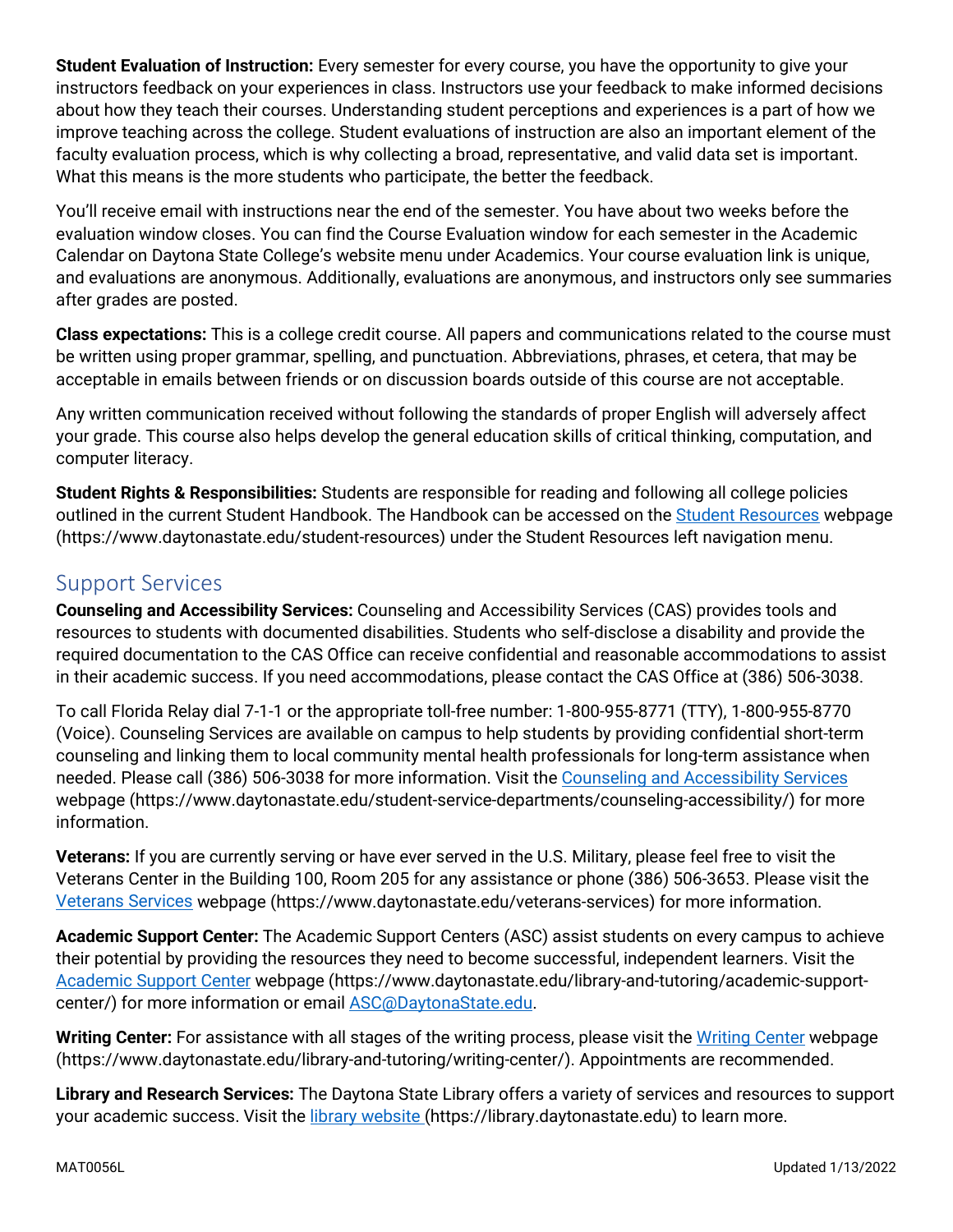**Student Evaluation of Instruction:** Every semester for every course, you have the opportunity to give your instructors feedback on your experiences in class. Instructors use your feedback to make informed decisions about how they teach their courses. Understanding student perceptions and experiences is a part of how we improve teaching across the college. Student evaluations of instruction are also an important element of the faculty evaluation process, which is why collecting a broad, representative, and valid data set is important. What this means is the more students who participate, the better the feedback.

You'll receive email with instructions near the end of the semester. You have about two weeks before the evaluation window closes. You can find the Course Evaluation window for each semester in the Academic Calendar on Daytona State College's website menu under Academics. Your course evaluation link is unique, and evaluations are anonymous. Additionally, evaluations are anonymous, and instructors only see summaries after grades are posted.

**Class expectations:** This is a college credit course. All papers and communications related to the course must be written using proper grammar, spelling, and punctuation. Abbreviations, phrases, et cetera, that may be acceptable in emails between friends or on discussion boards outside of this course are not acceptable.

Any written communication received without following the standards of proper English will adversely affect your grade. This course also helps develop the general education skills of critical thinking, computation, and computer literacy.

**Student Rights & Responsibilities:** Students are responsible for reading and following all college policies outlined in the current Student Handbook. The Handbook can be accessed on the [Student Resources](https://www.daytonastate.edu/student-resources) webpage (https://www.daytonastate.edu/student-resources) under the Student Resources left navigation menu.

## Support Services

**Counseling and Accessibility Services:** Counseling and Accessibility Services (CAS) provides tools and resources to students with documented disabilities. Students who self-disclose a disability and provide the required documentation to the CAS Office can receive confidential and reasonable accommodations to assist in their academic success. If you need accommodations, please contact the CAS Office at (386) 506-3038.

To call Florida Relay dial 7-1-1 or the appropriate toll-free number: 1-800-955-8771 (TTY), 1-800-955-8770 (Voice). Counseling Services are available on campus to help students by providing confidential short-term counseling and linking them to local community mental health professionals for long-term assistance when needed. Please call (386) 506-3038 for more information. Visit the [Counseling and Accessibility Services](https://www.daytonastate.edu/student-service-departments/counseling-accessibility/) webpage (https://www.daytonastate.edu/student-service-departments/counseling-accessibility/) for more information.

**Veterans:** If you are currently serving or have ever served in the U.S. Military, please feel free to visit the Veterans Center in the Building 100, Room 205 for any assistance or phone (386) 506-3653. Please visit the [Veterans Services](https://www.daytonastate.edu/veterans-services) webpage (https://www.daytonastate.edu/veterans-services) for more information.

**Academic Support Center:** The Academic Support Centers (ASC) assist students on every campus to achieve their potential by providing the resources they need to become successful, independent learners. Visit the [Academic Support Center](https://www.daytonastate.edu/library-and-tutoring/academic-support-center/index.html) webpage (https://www.daytonastate.edu/library-and-tutoring/academic-supportcenter/) for more information or email [ASC@DaytonaState.edu.](mailto:ASC@DaytonaState.edu)

**Writing Center:** For assistance with all stages of the writing process, please visit the [Writing Center](https://www.daytonastate.edu/library-and-tutoring/writing-center/) webpage (https://www.daytonastate.edu/library-and-tutoring/writing-center/). Appointments are recommended.

**Library and Research Services:** The Daytona State Library offers a variety of services and resources to support your academic success. Visit the [library website \(](https://library.daytonastate.edu/index)https://library.daytonastate.edu) to learn more.